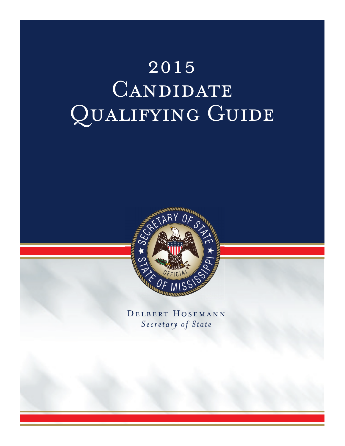# 2015 CANDIDATE QUALIFYING GUIDE



Delbert Hosemann *Secretary of State*

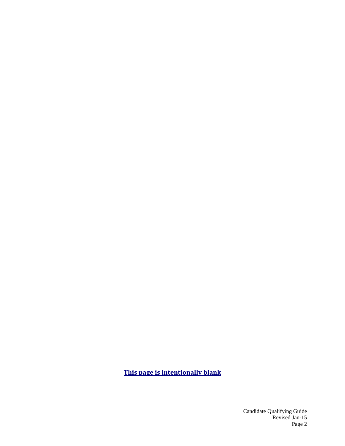### **This page is intentionally blank**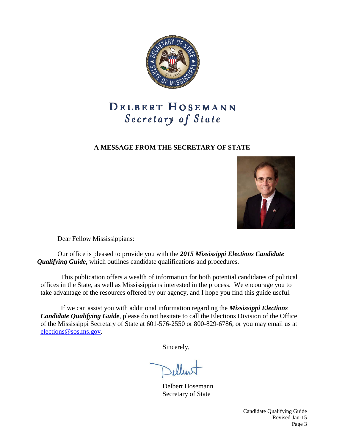

# DELBERT HOSEMANN Secretary of State

#### **A MESSAGE FROM THE SECRETARY OF STATE**



Dear Fellow Mississippians:

Our office is pleased to provide you with the *2015 Mississippi Elections Candidate Qualifying Guide*, which outlines candidate qualifications and procedures.

This publication offers a wealth of information for both potential candidates of political offices in the State, as well as Mississippians interested in the process. We encourage you to take advantage of the resources offered by our agency, and I hope you find this guide useful.

If we can assist you with additional information regarding the *Mississippi Elections Candidate Qualifying Guide,* please do not hesitate to call the Elections Division of the Office of the Mississippi Secretary of State at 601-576-2550 or 800-829-6786, or you may email us at [elections@sos.ms.gov.](mailto:elections@sos.ms.gov)

Sincerely,

Silly

Delbert Hosemann Secretary of State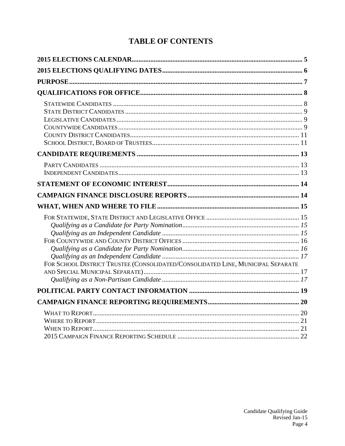# **TABLE OF CONTENTS**

| FOR SCHOOL DISTRICT TRUSTEE (CONSOLIDATED/CONSOLIDATED LINE, MUNICIPAL SEPARATE |  |
|---------------------------------------------------------------------------------|--|
|                                                                                 |  |
|                                                                                 |  |
|                                                                                 |  |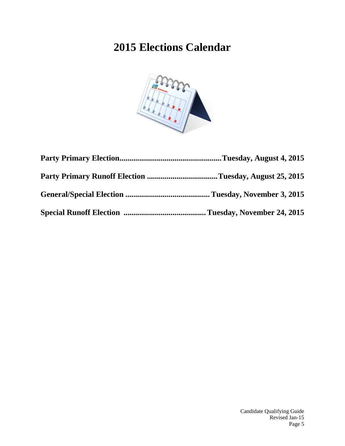# <span id="page-4-0"></span>**2015 Elections Calendar**

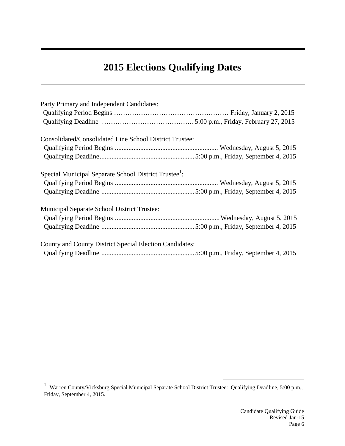# **2015 Elections Qualifying Dates**

<span id="page-5-0"></span>

| Party Primary and Independent Candidates:                         |  |
|-------------------------------------------------------------------|--|
|                                                                   |  |
|                                                                   |  |
| Consolidated/Consolidated Line School District Trustee:           |  |
|                                                                   |  |
|                                                                   |  |
| Special Municipal Separate School District Trustee <sup>1</sup> : |  |
|                                                                   |  |
|                                                                   |  |
| <b>Municipal Separate School District Trustee:</b>                |  |
|                                                                   |  |
|                                                                   |  |
| <b>County and County District Special Election Candidates:</b>    |  |
|                                                                   |  |

<sup>1</sup> Warren County/Vicksburg Special Municipal Separate School District Trustee: Qualifying Deadline, 5:00 p.m., Friday, September 4, 2015.

 $\overline{a}$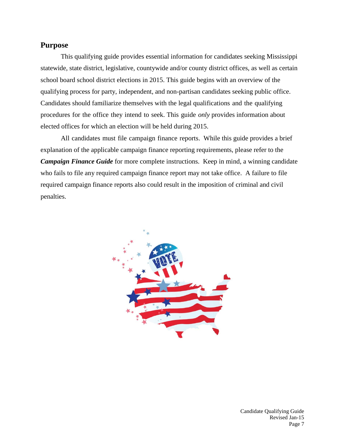#### <span id="page-6-0"></span>**Purpose**

This qualifying guide provides essential information for candidates seeking Mississippi statewide, state district, legislative, countywide and/or county district offices, as well as certain school board school district elections in 2015. This guide begins with an overview of the qualifying process for party, independent, and non-partisan candidates seeking public office. Candidates should familiarize themselves with the legal qualifications and the qualifying procedures for the office they intend to seek. This guide *only* provides information about elected offices for which an election will be held during 2015.

All candidates must file campaign finance reports. While this guide provides a brief explanation of the applicable campaign finance reporting requirements, please refer to the *Campaign Finance Guide* for more complete instructions. Keep in mind, a winning candidate who fails to file any required campaign finance report may not take office. A failure to file required campaign finance reports also could result in the imposition of criminal and civil penalties.

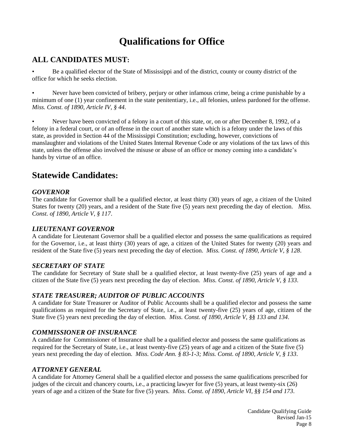# **Qualifications for Office**

### <span id="page-7-0"></span>**ALL CANDIDATES MUST:**

• Be a qualified elector of the State of Mississippi and of the district, county or county district of the office for which he seeks election.

• Never have been convicted of bribery, perjury or other infamous crime, being a crime punishable by a minimum of one (1) year confinement in the state penitentiary, i.e., all felonies, unless pardoned for the offense. *Miss. Const. of 1890, Article IV, § 44*.

• Never have been convicted of a felony in a court of this state, or, on or after December 8, 1992, of a felony in a federal court, or of an offense in the court of another state which is a felony under the laws of this state, as provided in Section 44 of the Mississippi Constitution; excluding, however, convictions of manslaughter and violations of the United States Internal Revenue Code or any violations of the tax laws of this state, unless the offense also involved the misuse or abuse of an office or money coming into a candidate's hands by virtue of an office.

# <span id="page-7-1"></span>**Statewide Candidates:**

#### *GOVERNOR*

The candidate for Governor shall be a qualified elector, at least thirty (30) years of age, a citizen of the United States for twenty (20) years, and a resident of the State five (5) years next preceding the day of election. *Miss. Const. of 1890, Article V, § 117*.

#### *LIEUTENANT GOVERNOR*

A candidate for Lieutenant Governor shall be a qualified elector and possess the same qualifications as required for the Governor, i.e., at least thirty (30) years of age, a citizen of the United States for twenty (20) years and resident of the State five (5) years next preceding the day of election. *Miss. Const. of 1890, Article V, § 128*.

#### *SECRETARY OF STATE*

The candidate for Secretary of State shall be a qualified elector, at least twenty-five (25) years of age and a citizen of the State five (5) years next preceding the day of election. *Miss. Const. of 1890, Article V, § 133*.

#### *STATE TREASURER; AUDITOR OF PUBLIC ACCOUNTS*

A candidate for State Treasurer or Auditor of Public Accounts shall be a qualified elector and possess the same qualifications as required for the Secretary of State, i.e., at least twenty-five (25) years of age, citizen of the State five (5) years next preceding the day of election. *Miss. Const. of 1890, Article V, §§ 133 and 134*.

#### *COMMISSIONER OF INSURANCE*

A candidate for Commissioner of Insurance shall be a qualified elector and possess the same qualifications as required for the Secretary of State, i.e., at least twenty-five (25) years of age and a citizen of the State five (5) years next preceding the day of election. *Miss. Code Ann. § 83-1-3; Miss. Const. of 1890, Article V, § 133*.

#### *ATTORNEY GENERAL*

A candidate for Attorney General shall be a qualified elector and possess the same qualifications prescribed for judges of the circuit and chancery courts, i.e., a practicing lawyer for five (5) years, at least twenty-six (26) years of age and a citizen of the State for five (5) years. *Miss. Const. of 1890, Article VI, §§ 154 and 173*.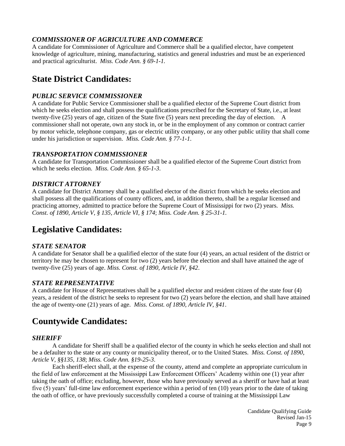#### *COMMISSIONER OF AGRICULTURE AND COMMERCE*

A candidate for Commissioner of Agriculture and Commerce shall be a qualified elector, have competent knowledge of agriculture, mining, manufacturing, statistics and general industries and must be an experienced and practical agriculturist. *Miss. Code Ann. § 69-1-1.*

# <span id="page-8-0"></span>**State District Candidates:**

#### *PUBLIC SERVICE COMMISSIONER*

A candidate for Public Service Commissioner shall be a qualified elector of the Supreme Court district from which he seeks election and shall possess the qualifications prescribed for the Secretary of State, i.e., at least twenty-five (25) years of age, citizen of the State five (5) years next preceding the day of election. A commissioner shall not operate, own any stock in, or be in the employment of any common or contract carrier by motor vehicle, telephone company, gas or electric utility company, or any other public utility that shall come under his jurisdiction or supervision. *Miss. Code Ann. § 77-1-1*.

#### *TRANSPORTATION COMMISSIONER*

A candidate for Transportation Commissioner shall be a qualified elector of the Supreme Court district from which he seeks election. *Miss. Code Ann. § 65-1-3*.

#### *DISTRICT ATTORNEY*

A candidate for District Attorney shall be a qualified elector of the district from which he seeks election and shall possess all the qualifications of county officers, and, in addition thereto, shall be a regular licensed and practicing attorney, admitted to practice before the Supreme Court of Mississippi for two (2) years. *Miss. Const. of 1890, Article V, § 135, Article VI, § 174*; *Miss. Code Ann. § 25-31-1.* 

# <span id="page-8-1"></span>**Legislative Candidates:**

#### *STATE SENATOR*

A candidate for Senator shall be a qualified elector of the state four (4) years, an actual resident of the district or territory he may be chosen to represent for two (2) years before the election and shall have attained the age of twenty-five (25) years of age. *Miss. Const. of 1890, Article IV, §42*.

#### *STATE REPRESENTATIVE*

A candidate for House of Representatives shall be a qualified elector and resident citizen of the state four (4) years, a resident of the district he seeks to represent for two (2) years before the election, and shall have attained the age of twenty-one (21) years of age. *Miss. Const. of 1890, Article IV, §41*.

# <span id="page-8-2"></span>**Countywide Candidates:**

#### *SHERIFF*

A candidate for Sheriff shall be a qualified elector of the county in which he seeks election and shall not be a defaulter to the state or any county or municipality thereof, or to the United States. *Miss. Const. of 1890, Article V, §§135, 138*; *Miss. Code Ann. §19-25-3*.

Each sheriff-elect shall, at the expense of the county, attend and complete an appropriate curriculum in the field of law enforcement at the Mississippi Law Enforcement Officers' Academy within one (1) year after taking the oath of office; excluding, however, those who have previously served as a sheriff or have had at least five (5) years' full-time law enforcement experience within a period of ten (10) years prior to the date of taking the oath of office, or have previously successfully completed a course of training at the Mississippi Law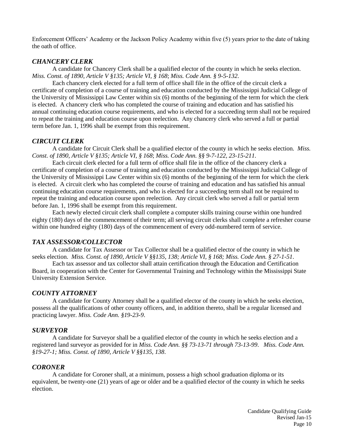Enforcement Officers' Academy or the Jackson Policy Academy within five (5) years prior to the date of taking the oath of office.

#### *CHANCERY CLERK*

A candidate for Chancery Clerk shall be a qualified elector of the county in which he seeks election. *Miss. Const. of 1890, Article V §135; Article VI, § 168*; *Miss. Code Ann. § 9-5-132*.

Each chancery clerk elected for a full term of office shall file in the office of the circuit clerk a certificate of completion of a course of training and education conducted by the Mississippi Judicial College of the University of Mississippi Law Center within six (6) months of the beginning of the term for which the clerk is elected. A chancery clerk who has completed the course of training and education and has satisfied his annual continuing education course requirements, and who is elected for a succeeding term shall not be required to repeat the training and education course upon reelection. Any chancery clerk who served a full or partial term before Jan. 1, 1996 shall be exempt from this requirement.

#### *CIRCUIT CLERK*

A candidate for Circuit Clerk shall be a qualified elector of the county in which he seeks election. *Miss. Const. of 1890, Article V §135; Article VI, § 168*; *Miss. Code Ann. §§ 9-7-122, 23-15-211*.

Each circuit clerk elected for a full term of office shall file in the office of the chancery clerk a certificate of completion of a course of training and education conducted by the Mississippi Judicial College of the University of Mississippi Law Center within six (6) months of the beginning of the term for which the clerk is elected. A circuit clerk who has completed the course of training and education and has satisfied his annual continuing education course requirements, and who is elected for a succeeding term shall not be required to repeat the training and education course upon reelection. Any circuit clerk who served a full or partial term before Jan. 1, 1996 shall be exempt from this requirement.

Each newly elected circuit clerk shall complete a computer skills training course within one hundred eighty (180) days of the commencement of their term; all serving circuit clerks shall complete a refresher course within one hundred eighty (180) days of the commencement of every odd-numbered term of service.

#### *TAX ASSESSOR/COLLECTOR*

A candidate for Tax Assessor or Tax Collector shall be a qualified elector of the county in which he seeks election. *Miss. Const. of 1890, Article V §§135, 138; Article VI, § 168; Miss. Code Ann. § 27-1-51*.

Each tax assessor and tax collector shall attain certification through the Education and Certification Board, in cooperation with the Center for Governmental Training and Technology within the Mississippi State University Extension Service.

#### *COUNTY ATTORNEY*

A candidate for County Attorney shall be a qualified elector of the county in which he seeks election, possess all the qualifications of other county officers, and, in addition thereto, shall be a regular licensed and practicing lawyer. *Miss. Code Ann. §19-23-9*.

#### *SURVEYOR*

A candidate for Surveyor shall be a qualified elector of the county in which he seeks election and a registered land surveyor as provided for in *Miss. Code Ann. §§ 73-13-71 through 73-13-99*. *Miss. Code Ann. §19-27-1; Miss. Const. of 1890, Article V §§135, 138*.

#### *CORONER*

A candidate for Coroner shall, at a minimum, possess a high school graduation diploma or its equivalent, be twenty-one (21) years of age or older and be a qualified elector of the county in which he seeks election.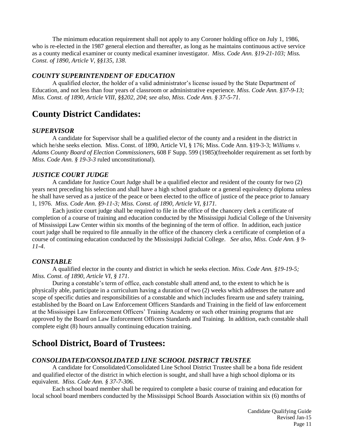The minimum education requirement shall not apply to any Coroner holding office on July 1, 1986, who is re-elected in the 1987 general election and thereafter, as long as he maintains continuous active service as a county medical examiner or county medical examiner investigator. *Miss. Code Ann. §19-21-103; Miss. Const. of 1890, Article V, §§135, 138*.

#### *COUNTY SUPERINTENDENT OF EDUCATION*

A qualified elector, the holder of a valid administrator's license issued by the State Department of Education, and not less than four years of classroom or administrative experience. *Miss. Code Ann. §37-9-13; Miss. Const. of 1890, Article VIII, §§202, 204*; *see also, Miss. Code Ann. § 37-5-71*.

### <span id="page-10-0"></span>**County District Candidates:**

#### *SUPERVISOR*

A candidate for Supervisor shall be a qualified elector of the county and a resident in the district in which he/she seeks election. Miss. Const. of 1890, Article VI, § 176; Miss. Code Ann. §19-3-3; *Williams v. Adams County Board of Election Commissioners*, 608 F Supp. 599 (1985)(freeholder requirement as set forth by *Miss. Code Ann. § 19-3-3* ruled unconstitutional).

#### *JUSTICE COURT JUDGE*

A candidate for Justice Court Judge shall be a qualified elector and resident of the county for two (2) years next preceding his selection and shall have a high school graduate or a general equivalency diploma unless he shall have served as a justice of the peace or been elected to the office of justice of the peace prior to January 1, 1976. *Miss. Code Ann. §9-11-3; Miss. Const. of 1890, Article VI, §171.*

Each justice court judge shall be required to file in the office of the chancery clerk a certificate of completion of a course of training and education conducted by the Mississippi Judicial College of the University of Mississippi Law Center within six months of the beginning of the term of office. In addition, each justice court judge shall be required to file annually in the office of the chancery clerk a certificate of completion of a course of continuing education conducted by the Mississippi Judicial College. *See also, Miss. Code Ann. § 9- 11-4*.

#### *CONSTABLE*

A qualified elector in the county and district in which he seeks election. *Miss. Code Ann. §19-19-5; Miss. Const. of 1890, Article VI, § 171*.

During a constable's term of office, each constable shall attend and, to the extent to which he is physically able, participate in a curriculum having a duration of two (2) weeks which addresses the nature and scope of specific duties and responsibilities of a constable and which includes firearm use and safety training, established by the Board on Law Enforcement Officers Standards and Training in the field of law enforcement at the Mississippi Law Enforcement Officers' Training Academy or such other training programs that are approved by the Board on Law Enforcement Officers Standards and Training. In addition, each constable shall complete eight (8) hours annually continuing education training.

## <span id="page-10-1"></span>**School District, Board of Trustees:**

#### *CONSOLIDATED/CONSOLIDATED LINE SCHOOL DISTRICT TRUSTEE*

A candidate for Consolidated/Consolidated Line School District Trustee shall be a bona fide resident and qualified elector of the district in which election is sought, and shall have a high school diploma or its equivalent. *Miss. Code Ann. § 37-7-306*.

Each school board member shall be required to complete a basic course of training and education for local school board members conducted by the Mississippi School Boards Association within six (6) months of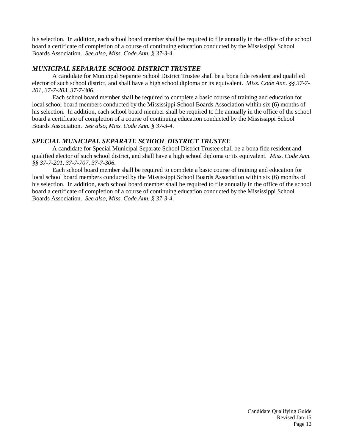his selection. In addition, each school board member shall be required to file annually in the office of the school board a certificate of completion of a course of continuing education conducted by the Mississippi School Boards Association. *See also*, *Miss. Code Ann. § 37-3-4*.

#### *MUNICIPAL SEPARATE SCHOOL DISTRICT TRUSTEE*

A candidate for Municipal Separate School District Trustee shall be a bona fide resident and qualified elector of such school district, and shall have a high school diploma or its equivalent. *Miss. Code Ann. §§ 37-7- 201, 37-7-203, 37-7-306*.

Each school board member shall be required to complete a basic course of training and education for local school board members conducted by the Mississippi School Boards Association within six (6) months of his selection. In addition, each school board member shall be required to file annually in the office of the school board a certificate of completion of a course of continuing education conducted by the Mississippi School Boards Association. *See also*, *Miss. Code Ann. § 37-3-4*.

#### *SPECIAL MUNICIPAL SEPARATE SCHOOL DISTRICT TRUSTEE*

A candidate for Special Municipal Separate School District Trustee shall be a bona fide resident and qualified elector of such school district, and shall have a high school diploma or its equivalent. *Miss. Code Ann. §§ 37-7-201, 37-7-707, 37-7-306.*

Each school board member shall be required to complete a basic course of training and education for local school board members conducted by the Mississippi School Boards Association within six (6) months of his selection. In addition, each school board member shall be required to file annually in the office of the school board a certificate of completion of a course of continuing education conducted by the Mississippi School Boards Association. *See also*, *Miss. Code Ann. § 37-3-4*.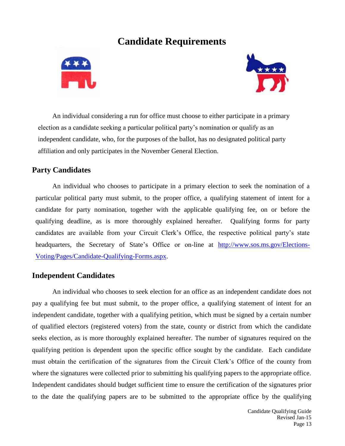# **Candidate Requirements**

<span id="page-12-0"></span>



An individual considering a run for office must choose to either participate in a primary election as a candidate seeking a particular political party's nomination or qualify as an independent candidate, who, for the purposes of the ballot, has no designated political party affiliation and only participates in the November General Election.

#### <span id="page-12-1"></span>**Party Candidates**

An individual who chooses to participate in a primary election to seek the nomination of a particular political party must submit, to the proper office, a qualifying statement of intent for a candidate for party nomination, together with the applicable qualifying fee, on or before the qualifying deadline, as is more thoroughly explained hereafter. Qualifying forms for party candidates are available from your Circuit Clerk's Office, the respective political party's state headquarters, the Secretary of State's Office or on-line at [http://www.sos.ms.gov/Elections-](http://www.sos.ms.gov/Elections-Voting/Pages/Candidate-Qualifying-Forms.aspx)[Voting/Pages/Candidate-Qualifying-Forms.aspx.](http://www.sos.ms.gov/Elections-Voting/Pages/Candidate-Qualifying-Forms.aspx)

#### <span id="page-12-2"></span>**Independent Candidates**

An individual who chooses to seek election for an office as an independent candidate does not pay a qualifying fee but must submit, to the proper office, a qualifying statement of intent for an independent candidate, together with a qualifying petition, which must be signed by a certain number of qualified electors (registered voters) from the state, county or district from which the candidate seeks election, as is more thoroughly explained hereafter. The number of signatures required on the qualifying petition is dependent upon the specific office sought by the candidate. Each candidate must obtain the certification of the signatures from the Circuit Clerk's Office of the county from where the signatures were collected prior to submitting his qualifying papers to the appropriate office. Independent candidates should budget sufficient time to ensure the certification of the signatures prior to the date the qualifying papers are to be submitted to the appropriate office by the qualifying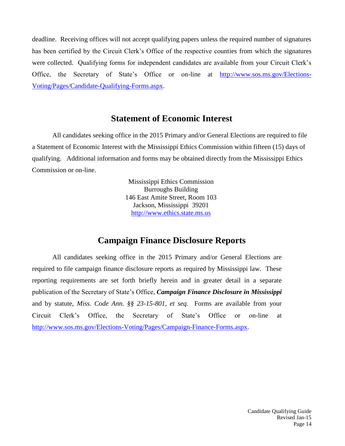deadline. Receiving offices will not accept qualifying papers unless the required number of signatures has been certified by the Circuit Clerk's Office of the respective counties from which the signatures were collected. Qualifying forms for independent candidates are available from your Circuit Clerk's Office, the Secretary of State's Office or on-line at [http://www.sos.ms.gov/Elections-](http://www.sos.ms.gov/Elections-Voting/Pages/Candidate-Qualifying-Forms.aspx)[Voting/Pages/Candidate-Qualifying-Forms.aspx.](http://www.sos.ms.gov/Elections-Voting/Pages/Candidate-Qualifying-Forms.aspx)

### **Statement of Economic Interest**

<span id="page-13-0"></span>All candidates seeking office in the 2015 Primary and/or General Elections are required to file a Statement of Economic Interest with the Mississippi Ethics Commission within fifteen (15) days of qualifying. Additional information and forms may be obtained directly from the Mississippi Ethics Commission or on-line.

> Mississippi Ethics Commission Burroughs Building 146 East Amite Street, Room 103 Jackson, Mississippi 39201 [http://www.ethics.state.ms.us](http://www.ethics.state.ms.us/)

### **Campaign Finance Disclosure Reports**

<span id="page-13-1"></span>All candidates seeking office in the 2015 Primary and/or General Elections are required to file campaign finance disclosure reports as required by Mississippi law. These reporting requirements are set forth briefly herein and in greater detail in a separate publication of the Secretary of State's Office, *Campaign Finance Disclosure in Mississippi* and by statute, *Miss. Code Ann. §§ 23-15-801, et seq.* Forms are available from your Circuit Clerk's Office, the Secretary of State's Office or on-line at [http://www.sos.ms.gov/Elections-Voting/Pages/Campaign-Finance-Forms.aspx.](http://www.sos.ms.gov/Elections-Voting/Pages/Campaign-Finance-Forms.aspx)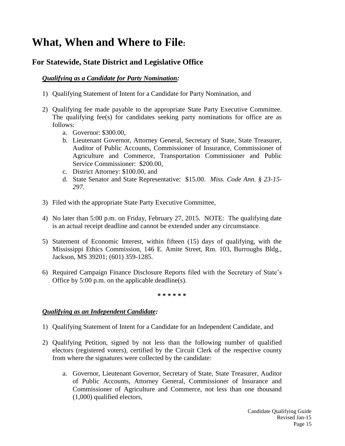# <span id="page-14-0"></span>**What, When and Where to File:**

### <span id="page-14-1"></span>**For Statewide, State District and Legislative Office**

#### <span id="page-14-2"></span>*Qualifying as a Candidate for Party Nomination:*

- 1) Qualifying Statement of Intent for a Candidate for Party Nomination, and
- 2) Qualifying fee made payable to the appropriate State Party Executive Committee. The qualifying fee(s) for candidates seeking party nominations for office are as follows:
	- a. Governor: \$300.00,
	- b. Lieutenant Governor, Attorney General, Secretary of State, State Treasurer, Auditor of Public Accounts, Commissioner of Insurance, Commissioner of Agriculture and Commerce, Transportation Commissioner and Public Service Commissioner: \$200.00,
	- c. District Attorney: \$100.00, and
	- d. State Senator and State Representative: \$15.00. *Miss. Code Ann. § 23-15- 297*.
- 3) Filed with the appropriate State Party Executive Committee,
- 4) No later than 5:00 p.m. on Friday, February 27, 2015. NOTE: The qualifying date is an actual receipt deadline and cannot be extended under any circumstance.
- 5) Statement of Economic Interest, within fifteen (15) days of qualifying, with the Mississippi Ethics Commission, 146 E. Amite Street, Rm. 103, Burroughs Bldg., Jackson, MS 39201; (601) 359-1285.
- 6) Required Campaign Finance Disclosure Reports filed with the Secretary of State's Office by 5:00 p.m. on the applicable deadline(s).

**\* \* \* \* \* \***

#### <span id="page-14-3"></span>*Qualifying as an Independent Candidate:*

- 1) Qualifying Statement of Intent for a Candidate for an Independent Candidate, and
- 2) Qualifying Petition, signed by not less than the following number of qualified electors (registered voters), certified by the Circuit Clerk of the respective county from where the signatures were collected by the candidate:
	- a. Governor, Lieutenant Governor, Secretary of State, State Treasurer, Auditor of Public Accounts, Attorney General, Commissioner of Insurance and Commissioner of Agriculture and Commerce, not less than one thousand (1,000) qualified electors,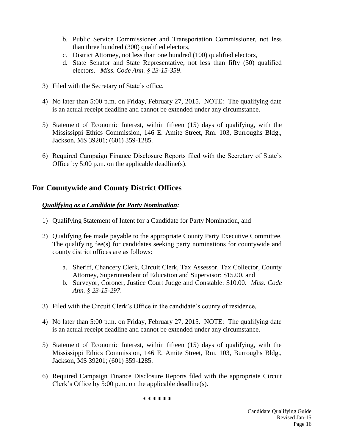- b. Public Service Commissioner and Transportation Commissioner, not less than three hundred (300) qualified electors,
- c. District Attorney, not less than one hundred (100) qualified electors,
- d. State Senator and State Representative, not less than fifty (50) qualified electors. *Miss. Code Ann. § 23-15-359*.
- 3) Filed with the Secretary of State's office,
- 4) No later than 5:00 p.m. on Friday, February 27, 2015. NOTE: The qualifying date is an actual receipt deadline and cannot be extended under any circumstance.
- 5) Statement of Economic Interest, within fifteen (15) days of qualifying, with the Mississippi Ethics Commission, 146 E. Amite Street, Rm. 103, Burroughs Bldg., Jackson, MS 39201; (601) 359-1285.
- 6) Required Campaign Finance Disclosure Reports filed with the Secretary of State's Office by 5:00 p.m. on the applicable deadline(s).

#### <span id="page-15-0"></span>**For Countywide and County District Offices**

#### <span id="page-15-1"></span>*Qualifying as a Candidate for Party Nomination:*

- 1) Qualifying Statement of Intent for a Candidate for Party Nomination, and
- 2) Qualifying fee made payable to the appropriate County Party Executive Committee. The qualifying fee(s) for candidates seeking party nominations for countywide and county district offices are as follows:
	- a. Sheriff, Chancery Clerk, Circuit Clerk, Tax Assessor, Tax Collector, County Attorney, Superintendent of Education and Supervisor: \$15.00, and
	- b. Surveyor, Coroner, Justice Court Judge and Constable: \$10.00. *Miss. Code Ann. § 23-15-297*.
- 3) Filed with the Circuit Clerk's Office in the candidate's county of residence,
- 4) No later than 5:00 p.m. on Friday, February 27, 2015. NOTE: The qualifying date is an actual receipt deadline and cannot be extended under any circumstance.
- 5) Statement of Economic Interest, within fifteen (15) days of qualifying, with the Mississippi Ethics Commission, 146 E. Amite Street, Rm. 103, Burroughs Bldg., Jackson, MS 39201; (601) 359-1285.
- 6) Required Campaign Finance Disclosure Reports filed with the appropriate Circuit Clerk's Office by 5:00 p.m. on the applicable deadline(s).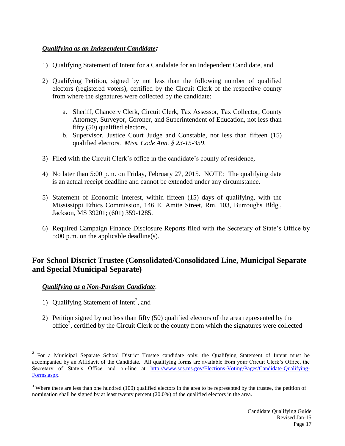#### <span id="page-16-0"></span>*Qualifying as an Independent Candidate:*

- 1) Qualifying Statement of Intent for a Candidate for an Independent Candidate, and
- 2) Qualifying Petition, signed by not less than the following number of qualified electors (registered voters), certified by the Circuit Clerk of the respective county from where the signatures were collected by the candidate:
	- a. Sheriff, Chancery Clerk, Circuit Clerk, Tax Assessor, Tax Collector, County Attorney, Surveyor, Coroner, and Superintendent of Education, not less than fifty (50) qualified electors,
	- b. Supervisor, Justice Court Judge and Constable, not less than fifteen (15) qualified electors. *Miss. Code Ann. § 23-15-359*.
- 3) Filed with the Circuit Clerk's office in the candidate's county of residence,
- 4) No later than 5:00 p.m. on Friday, February 27, 2015. NOTE: The qualifying date is an actual receipt deadline and cannot be extended under any circumstance.
- 5) Statement of Economic Interest, within fifteen (15) days of qualifying, with the Mississippi Ethics Commission, 146 E. Amite Street, Rm. 103, Burroughs Bldg., Jackson, MS 39201; (601) 359-1285.
- 6) Required Campaign Finance Disclosure Reports filed with the Secretary of State's Office by 5:00 p.m. on the applicable deadline(s).

#### <span id="page-16-1"></span>**For School District Trustee (Consolidated/Consolidated Line, Municipal Separate and Special Municipal Separate)**

#### <span id="page-16-2"></span>*Qualifying as a Non-Partisan Candidate*:

- 1) Qualifying Statement of Intent<sup>2</sup>, and
- 2) Petition signed by not less than fifty (50) qualified electors of the area represented by the office<sup>3</sup>, certified by the Circuit Clerk of the county from which the signatures were collected

<sup>&</sup>lt;sup>2</sup> For a Municipal Separate School District Trustee candidate only, the Qualifying Statement of Intent must be accompanied by an Affidavit of the Candidate. All qualifying forms are available from your Circuit Clerk's Office, the Secretary of State's Office and on-line at [http://www.sos.ms.gov/Elections-Voting/Pages/Candidate-Qualifying-](http://www.sos.ms.gov/Elections-Voting/Pages/Candidate-Qualifying-Forms.aspx)[Forms.aspx.](http://www.sos.ms.gov/Elections-Voting/Pages/Candidate-Qualifying-Forms.aspx) 

 $3$  Where there are less than one hundred (100) qualified electors in the area to be represented by the trustee, the petition of nomination shall be signed by at least twenty percent (20.0%) of the qualified electors in the area.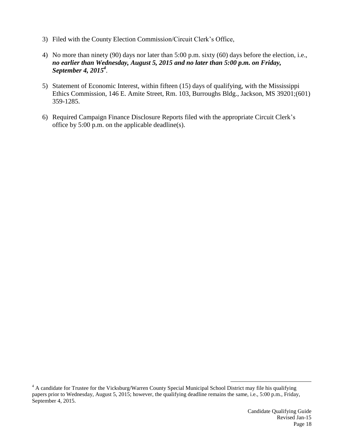- 3) Filed with the County Election Commission/Circuit Clerk's Office,
- 4) No more than ninety (90) days nor later than 5:00 p.m. sixty (60) days before the election, i.e., *no earlier than Wednesday, August 5, 2015 and no later than 5:00 p.m. on Friday, September 4, 2015<sup>4</sup>* .
- 5) Statement of Economic Interest, within fifteen (15) days of qualifying, with the Mississippi Ethics Commission, 146 E. Amite Street, Rm. 103, Burroughs Bldg., Jackson, MS 39201;(601) 359-1285.
- 6) Required Campaign Finance Disclosure Reports filed with the appropriate Circuit Clerk's office by 5:00 p.m. on the applicable deadline(s).

 $\overline{a}$ 

 $4$  A candidate for Trustee for the Vicksburg/Warren County Special Municipal School District may file his qualifying papers prior to Wednesday, August 5, 2015; however, the qualifying deadline remains the same, i.e., 5:00 p.m., Friday, September 4, 2015.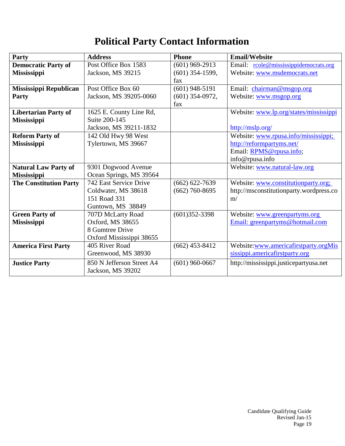# **Political Party Contact Information**

<span id="page-18-0"></span>

| <b>Party</b>                  | <b>Address</b>            | <b>Phone</b>       | <b>Email/Website</b>                    |
|-------------------------------|---------------------------|--------------------|-----------------------------------------|
| <b>Democratic Party of</b>    | Post Office Box 1583      | $(601)$ 969-2913   | Email: rcole@mississippidemocrats.org   |
| <b>Mississippi</b>            | Jackson, MS 39215         | $(601)$ 354-1599,  | Website: www.msdemocrats.net            |
|                               |                           | fax                |                                         |
| <b>Mississippi Republican</b> | Post Office Box 60        | $(601)$ 948-5191   | Email: chairman@msgop.org               |
| <b>Party</b>                  | Jackson, MS 39205-0060    | $(601)$ 354-0972,  | Website: www.msgop.org                  |
|                               |                           | fax                |                                         |
| <b>Libertarian Party of</b>   | 1625 E. County Line Rd,   |                    | Website: www.lp.org/states/mississippi  |
| <b>Mississippi</b>            | Suite 200-145             |                    |                                         |
|                               | Jackson, MS 39211-1832    |                    | http://mslp.org/                        |
| <b>Reform Party of</b>        | 142 Old Hwy 98 West       |                    | Website: www.rpusa.info/mississippi;    |
| <b>Mississippi</b>            | Tylertown, MS 39667       |                    | http://reformpartyms.net/               |
|                               |                           |                    | Email: RPMS@rpusa.info;                 |
|                               |                           |                    | info@rpusa.info                         |
| <b>Natural Law Party of</b>   | 9301 Dogwood Avenue       |                    | Website: www.natural-law.org            |
| <b>Mississippi</b>            | Ocean Springs, MS 39564   |                    |                                         |
| <b>The Constitution Party</b> | 742 East Service Drive    | $(662) 622 - 7639$ | Website: www.constitutionparty.org;     |
|                               | Coldwater, MS 38618       | $(662)$ 760-8695   | http://msconstitutionparty.wordpress.co |
|                               | 151 Road 331              |                    | m/                                      |
|                               | Guntown, MS 38849         |                    |                                         |
| <b>Green Party of</b>         | 707D McLarty Road         | $(601)352-3398$    | Website: www.greenpartyms.org           |
| <b>Mississippi</b>            | Oxford, MS 38655          |                    | Email: greenpartyms@hotmail.com         |
|                               | 8 Gumtree Drive           |                    |                                         |
|                               | Oxford Mississippi 38655  |                    |                                         |
| <b>America First Party</b>    | 405 River Road            | $(662)$ 453-8412   | Website: www.americafirstparty.orgMis   |
|                               | Greenwood, MS 38930       |                    | sissippi.americafirstparty.org          |
| <b>Justice Party</b>          | 850 N Jefferson Street A4 | $(601)$ 960-0667   | http://mississippi.justicepartyusa.net  |
|                               | Jackson, MS 39202         |                    |                                         |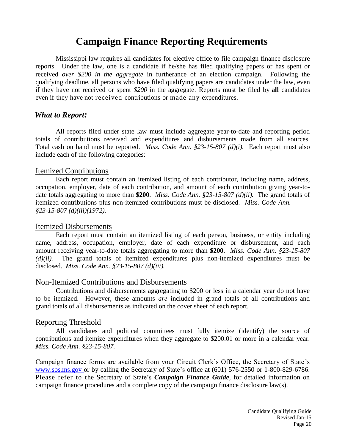# **Campaign Finance Reporting Requirements**

<span id="page-19-0"></span>Mississippi law requires all candidates for elective office to file campaign finance disclosure reports. Under the law, one is a candidate if he/she has filed qualifying papers or has spent or received *over \$200 in the aggregate* in furtherance of an election campaign. Following the qualifying deadline, all persons who have filed qualifying papers are candidates under the law, even if they have not received or spent *\$200* in the aggregate. Reports must be filed by **all** candidates even if they have not received contributions or made any expenditures.

#### <span id="page-19-1"></span>*What to Report:*

All reports filed under state law must include aggregate year-to-date and reporting period totals of contributions received and expenditures and disbursements made from all sources. Total cash on hand must be reported. *Miss. Code Ann. §23-15-807 (d)(i).* Each report must also include each of the following categories:

#### Itemized Contributions

Each report must contain an itemized listing of each contributor, including name, address, occupation, employer, date of each contribution, and amount of each contribution giving year-todate totals aggregating to more than **\$200**. *Miss. Code Ann. §23-15-807 (d)(ii).* The grand totals of itemized contributions plus non-itemized contributions must be disclosed. *Miss. Code Ann. §23-15-807 (d)(iii)(1972).*

#### Itemized Disbursements

Each report must contain an itemized listing of each person, business, or entity including name, address, occupation, employer, date of each expenditure or disbursement, and each amount receiving year-to-date totals aggregating to more than **\$200**. *Miss. Code Ann. §23-15-807 (d)(ii).* The grand totals of itemized expenditures plus non-itemized expenditures must be disclosed. *Miss. Code Ann. §23-15-807 (d)(iii).*

#### Non-Itemized Contributions and Disbursements

Contributions and disbursements aggregating to \$200 or less in a calendar year do not have to be itemized. However, these amounts *are* included in grand totals of all contributions and grand totals of all disbursements as indicated on the cover sheet of each report.

#### Reporting Threshold

All candidates and political committees must fully itemize (identify) the source of contributions and itemize expenditures when they aggregate to \$200.01 or more in a calendar year. *Miss. Code Ann. §23-15-807.*

Campaign finance forms are available from your Circuit Clerk's Office, the Secretary of State 's www.sos.ms.gov or by calling the Secretary of State's office at (601) 576-2550 or 1-800-829-6786. Please refer to the Secretary of State's *Campaign Finance Guide*, for detailed information on campaign finance procedures and a complete copy of the campaign finance disclosure law(s).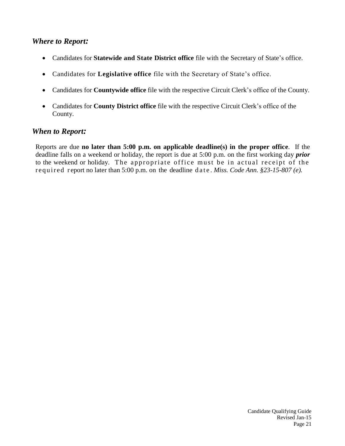#### <span id="page-20-0"></span>*Where to Report:*

- Candidates for **Statewide and State District office** file with the Secretary of State's office.
- Candidates for **Legislative office** file with the Secretary of State's office.
- Candidates for **Countywide office** file with the respective Circuit Clerk's office of the County.
- Candidates for **County District office** file with the respective Circuit Clerk's office of the County.

#### <span id="page-20-1"></span>*When to Report:*

Reports are due **no later than 5:00 p.m. on applicable deadline(s) in the proper office**. If the deadline falls on a weekend or holiday, the report is due at 5:00 p.m. on the first working day *prior*  to the weekend or holiday. The appropriate office must be in actual receipt of the r equired report no later than 5:00 p.m. on the deadline d at e. *Miss. Code Ann.* §23-15-807 (e).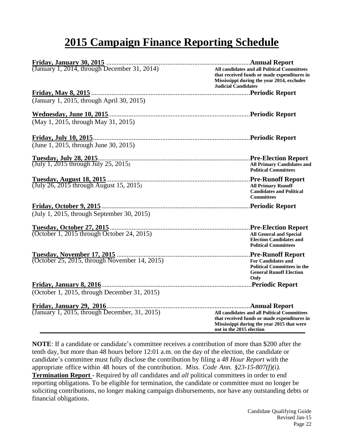# **2015 Campaign Finance Reporting Schedule**

<span id="page-21-0"></span>

| Friday, January 30, 2015<br>(January 1, 2014, through December 31, 2014) All candidates and all Political Comm | All candidates and all Political Committees<br>that received funds or made expenditures in<br>Mississippi during the year 2014, excludes<br><b>Judicial Candidates</b> |
|----------------------------------------------------------------------------------------------------------------|------------------------------------------------------------------------------------------------------------------------------------------------------------------------|
|                                                                                                                |                                                                                                                                                                        |
| (January 1, 2015, through April 30, 2015)                                                                      |                                                                                                                                                                        |
| (May 1, 2015, through May 31, 2015)                                                                            |                                                                                                                                                                        |
| (June 1, 2015, through June 30, 2015)                                                                          |                                                                                                                                                                        |
|                                                                                                                | <b>All Primary Candidates and</b><br><b>Political Committees</b>                                                                                                       |
|                                                                                                                | Pre-Runoff Report<br><b>All Primary Runoff</b><br><b>Candidates and Political</b><br><b>Committees</b>                                                                 |
| (July 1, 2015, through September 30, 2015)                                                                     |                                                                                                                                                                        |
|                                                                                                                |                                                                                                                                                                        |
|                                                                                                                | <b>Election Candidates and</b><br><b>Political Committees</b>                                                                                                          |
|                                                                                                                | Pre-Runoff Report<br><b>For Candidates and</b><br><b>Political Committees in the</b><br><b>General Runoff Election</b><br>Only                                         |
| (October 1, 2015, through December 31, 2015)                                                                   |                                                                                                                                                                        |
|                                                                                                                | All candidates and all Political Committees<br>that received funds or made expenditures in<br>Mississippi during the year 2015 that were<br>not in the 2015 election   |

**NOTE**: If a candidate or candidate's committee receives a contribution of more than \$200 after the tenth day, but more than 48 hours before 12:01 a.m. on the day of the election, the candidate or candidate's committee must fully disclose the contribution by filing a *48 Hour Report* with the appropriate office within 48 hours of the contribution. *Miss. Code Ann. §23-15-807(f)(i).* **Termination Report** - Required by *all* candidates and *all* political committees in order to end reporting obligations. To be eligible for termination, the candidate or committee must no longer be soliciting contributions, no longer making campaign disbursements, nor have any outstanding debts or financial obligations.